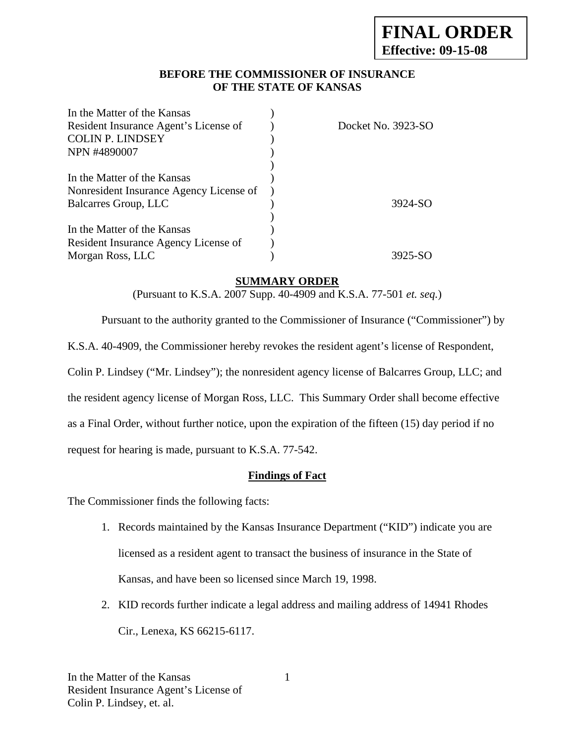## **BEFORE THE COMMISSIONER OF INSURANCE OF THE STATE OF KANSAS**

| In the Matter of the Kansas             |                    |
|-----------------------------------------|--------------------|
| Resident Insurance Agent's License of   | Docket No. 3923-SO |
| <b>COLIN P. LINDSEY</b>                 |                    |
| NPN #4890007                            |                    |
|                                         |                    |
| In the Matter of the Kansas             |                    |
| Nonresident Insurance Agency License of |                    |
| Balcarres Group, LLC                    | 3924-SO            |
|                                         |                    |
| In the Matter of the Kansas             |                    |
| Resident Insurance Agency License of    |                    |
| Morgan Ross, LLC                        | 3925-SO            |

## **SUMMARY ORDER**

(Pursuant to K.S.A. 2007 Supp. 40-4909 and K.S.A. 77-501 *et. seq.*)

Pursuant to the authority granted to the Commissioner of Insurance ("Commissioner") by

K.S.A. 40-4909, the Commissioner hereby revokes the resident agent's license of Respondent,

Colin P. Lindsey ("Mr. Lindsey"); the nonresident agency license of Balcarres Group, LLC; and

the resident agency license of Morgan Ross, LLC. This Summary Order shall become effective

as a Final Order, without further notice, upon the expiration of the fifteen (15) day period if no

request for hearing is made, pursuant to K.S.A. 77-542.

## **Findings of Fact**

The Commissioner finds the following facts:

- 1. Records maintained by the Kansas Insurance Department ("KID") indicate you are licensed as a resident agent to transact the business of insurance in the State of Kansas, and have been so licensed since March 19, 1998.
- 2. KID records further indicate a legal address and mailing address of 14941 Rhodes Cir., Lenexa, KS 66215-6117.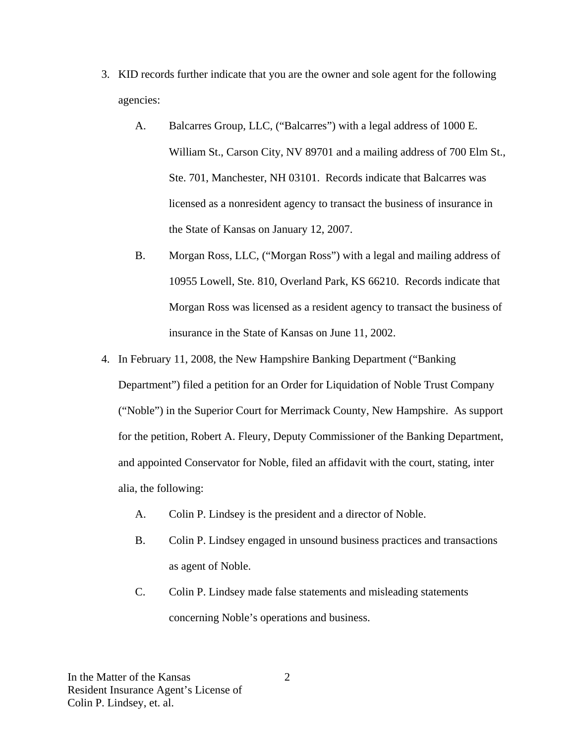- 3. KID records further indicate that you are the owner and sole agent for the following agencies:
	- A. Balcarres Group, LLC, ("Balcarres") with a legal address of 1000 E. William St., Carson City, NV 89701 and a mailing address of 700 Elm St., Ste. 701, Manchester, NH 03101. Records indicate that Balcarres was licensed as a nonresident agency to transact the business of insurance in the State of Kansas on January 12, 2007.
	- B. Morgan Ross, LLC, ("Morgan Ross") with a legal and mailing address of 10955 Lowell, Ste. 810, Overland Park, KS 66210. Records indicate that Morgan Ross was licensed as a resident agency to transact the business of insurance in the State of Kansas on June 11, 2002.
- 4. In February 11, 2008, the New Hampshire Banking Department ("Banking Department") filed a petition for an Order for Liquidation of Noble Trust Company ("Noble") in the Superior Court for Merrimack County, New Hampshire. As support for the petition, Robert A. Fleury, Deputy Commissioner of the Banking Department, and appointed Conservator for Noble, filed an affidavit with the court, stating, inter alia, the following:
	- A. Colin P. Lindsey is the president and a director of Noble.
	- B. Colin P. Lindsey engaged in unsound business practices and transactions as agent of Noble.
	- C. Colin P. Lindsey made false statements and misleading statements concerning Noble's operations and business.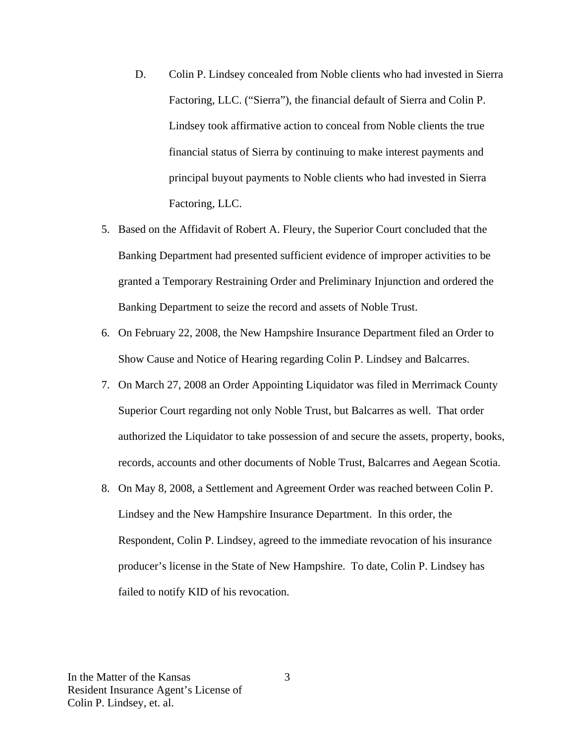- D. Colin P. Lindsey concealed from Noble clients who had invested in Sierra Factoring, LLC. ("Sierra"), the financial default of Sierra and Colin P. Lindsey took affirmative action to conceal from Noble clients the true financial status of Sierra by continuing to make interest payments and principal buyout payments to Noble clients who had invested in Sierra Factoring, LLC.
- 5. Based on the Affidavit of Robert A. Fleury, the Superior Court concluded that the Banking Department had presented sufficient evidence of improper activities to be granted a Temporary Restraining Order and Preliminary Injunction and ordered the Banking Department to seize the record and assets of Noble Trust.
- 6. On February 22, 2008, the New Hampshire Insurance Department filed an Order to Show Cause and Notice of Hearing regarding Colin P. Lindsey and Balcarres.
- 7. On March 27, 2008 an Order Appointing Liquidator was filed in Merrimack County Superior Court regarding not only Noble Trust, but Balcarres as well. That order authorized the Liquidator to take possession of and secure the assets, property, books, records, accounts and other documents of Noble Trust, Balcarres and Aegean Scotia.
- 8. On May 8, 2008, a Settlement and Agreement Order was reached between Colin P. Lindsey and the New Hampshire Insurance Department. In this order, the Respondent, Colin P. Lindsey, agreed to the immediate revocation of his insurance producer's license in the State of New Hampshire. To date, Colin P. Lindsey has failed to notify KID of his revocation.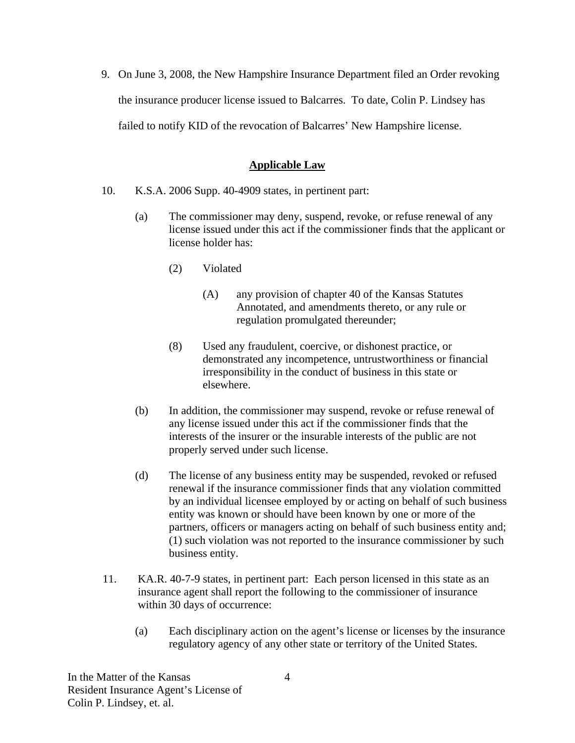9. On June 3, 2008, the New Hampshire Insurance Department filed an Order revoking the insurance producer license issued to Balcarres. To date, Colin P. Lindsey has failed to notify KID of the revocation of Balcarres' New Hampshire license.

## **Applicable Law**

- 10. K.S.A. 2006 Supp. 40-4909 states, in pertinent part:
	- (a) The commissioner may deny, suspend, revoke, or refuse renewal of any license issued under this act if the commissioner finds that the applicant or license holder has:
		- (2) Violated
			- (A) any provision of chapter 40 of the Kansas Statutes Annotated, and amendments thereto, or any rule or regulation promulgated thereunder;
		- (8) Used any fraudulent, coercive, or dishonest practice, or demonstrated any incompetence, untrustworthiness or financial irresponsibility in the conduct of business in this state or elsewhere.
	- (b) In addition, the commissioner may suspend, revoke or refuse renewal of any license issued under this act if the commissioner finds that the interests of the insurer or the insurable interests of the public are not properly served under such license.
	- (d) The license of any business entity may be suspended, revoked or refused renewal if the insurance commissioner finds that any violation committed by an individual licensee employed by or acting on behalf of such business entity was known or should have been known by one or more of the partners, officers or managers acting on behalf of such business entity and; (1) such violation was not reported to the insurance commissioner by such business entity.
- 11. KA.R. 40-7-9 states, in pertinent part: Each person licensed in this state as an insurance agent shall report the following to the commissioner of insurance within 30 days of occurrence:
	- (a) Each disciplinary action on the agent's license or licenses by the insurance regulatory agency of any other state or territory of the United States.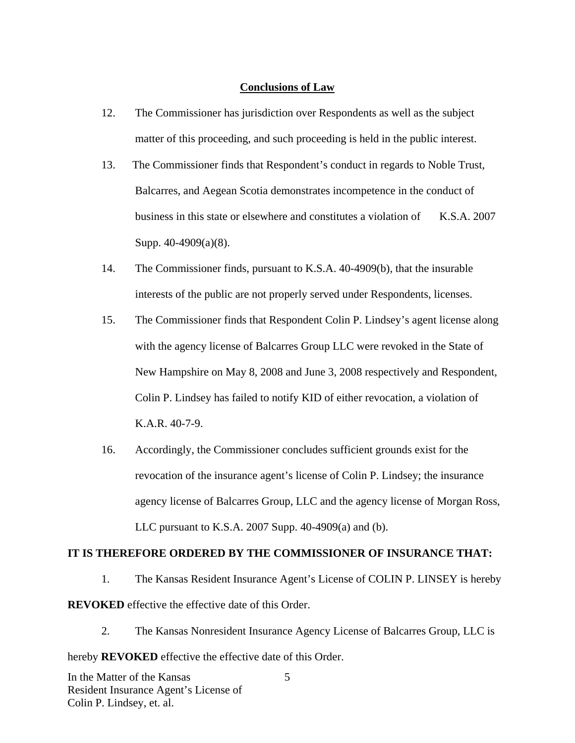#### **Conclusions of Law**

- 12. The Commissioner has jurisdiction over Respondents as well as the subject matter of this proceeding, and such proceeding is held in the public interest.
- 13. The Commissioner finds that Respondent's conduct in regards to Noble Trust, Balcarres, and Aegean Scotia demonstrates incompetence in the conduct of business in this state or elsewhere and constitutes a violation of K.S.A. 2007 Supp. 40-4909(a)(8).
- 14. The Commissioner finds, pursuant to K.S.A. 40-4909(b), that the insurable interests of the public are not properly served under Respondents, licenses.
- 15. The Commissioner finds that Respondent Colin P. Lindsey's agent license along with the agency license of Balcarres Group LLC were revoked in the State of New Hampshire on May 8, 2008 and June 3, 2008 respectively and Respondent, Colin P. Lindsey has failed to notify KID of either revocation, a violation of K.A.R. 40-7-9.
- 16. Accordingly, the Commissioner concludes sufficient grounds exist for the revocation of the insurance agent's license of Colin P. Lindsey; the insurance agency license of Balcarres Group, LLC and the agency license of Morgan Ross, LLC pursuant to K.S.A. 2007 Supp. 40-4909(a) and (b).

## **IT IS THEREFORE ORDERED BY THE COMMISSIONER OF INSURANCE THAT:**

1. The Kansas Resident Insurance Agent's License of COLIN P. LINSEY is hereby **REVOKED** effective the effective date of this Order.

5

2. The Kansas Nonresident Insurance Agency License of Balcarres Group, LLC is

hereby **REVOKED** effective the effective date of this Order.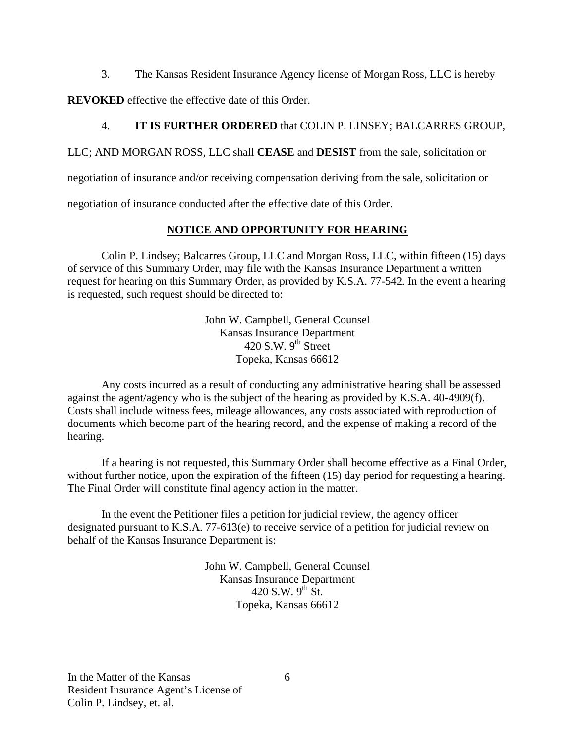3. The Kansas Resident Insurance Agency license of Morgan Ross, LLC is hereby

**REVOKED** effective the effective date of this Order.

## 4. **IT IS FURTHER ORDERED** that COLIN P. LINSEY; BALCARRES GROUP,

LLC; AND MORGAN ROSS, LLC shall **CEASE** and **DESIST** from the sale, solicitation or

negotiation of insurance and/or receiving compensation deriving from the sale, solicitation or

negotiation of insurance conducted after the effective date of this Order.

## **NOTICE AND OPPORTUNITY FOR HEARING**

Colin P. Lindsey; Balcarres Group, LLC and Morgan Ross, LLC, within fifteen (15) days of service of this Summary Order, may file with the Kansas Insurance Department a written request for hearing on this Summary Order, as provided by K.S.A. 77-542. In the event a hearing is requested, such request should be directed to:

> John W. Campbell, General Counsel Kansas Insurance Department 420 S.W.  $9<sup>th</sup>$  Street Topeka, Kansas 66612

Any costs incurred as a result of conducting any administrative hearing shall be assessed against the agent/agency who is the subject of the hearing as provided by K.S.A. 40-4909(f). Costs shall include witness fees, mileage allowances, any costs associated with reproduction of documents which become part of the hearing record, and the expense of making a record of the hearing.

If a hearing is not requested, this Summary Order shall become effective as a Final Order, without further notice, upon the expiration of the fifteen (15) day period for requesting a hearing. The Final Order will constitute final agency action in the matter.

In the event the Petitioner files a petition for judicial review, the agency officer designated pursuant to K.S.A. 77-613(e) to receive service of a petition for judicial review on behalf of the Kansas Insurance Department is:

> John W. Campbell, General Counsel Kansas Insurance Department 420 S.W.  $9^{th}$  St. Topeka, Kansas 66612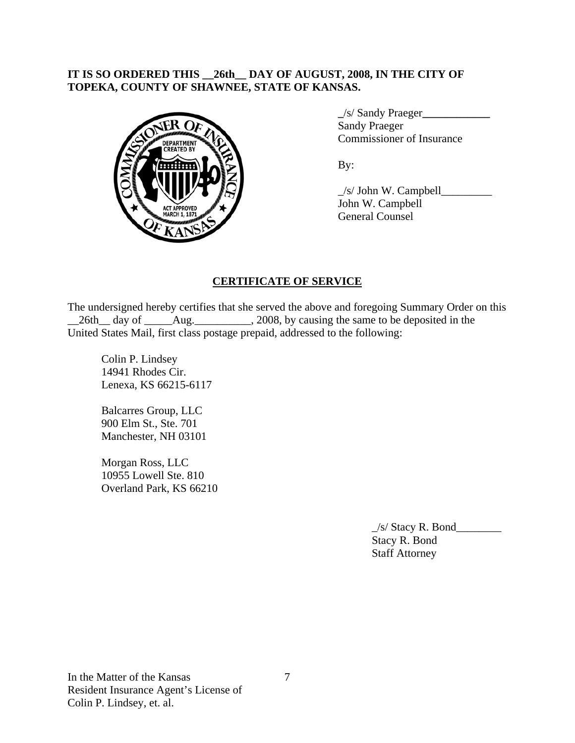## **IT IS SO ORDERED THIS \_\_26th\_\_ DAY OF AUGUST, 2008, IN THE CITY OF TOPEKA, COUNTY OF SHAWNEE, STATE OF KANSAS.**



 **\_**/s/ Sandy Praeger**\_\_\_\_\_\_\_\_\_\_\_\_** Sandy Praeger Commissioner of Insurance

 $\angle$ s/ John W. Campbell John W. Campbell General Counsel

# **CERTIFICATE OF SERVICE**

The undersigned hereby certifies that she served the above and foregoing Summary Order on this 26th day of Aug. 2008, by causing the same to be deposited in the United States Mail, first class postage prepaid, addressed to the following:

Colin P. Lindsey 14941 Rhodes Cir. Lenexa, KS 66215-6117

Balcarres Group, LLC 900 Elm St., Ste. 701 Manchester, NH 03101

Morgan Ross, LLC 10955 Lowell Ste. 810 Overland Park, KS 66210

> \_/s/ Stacy R. Bond\_\_\_\_\_\_\_\_ Stacy R. Bond Staff Attorney